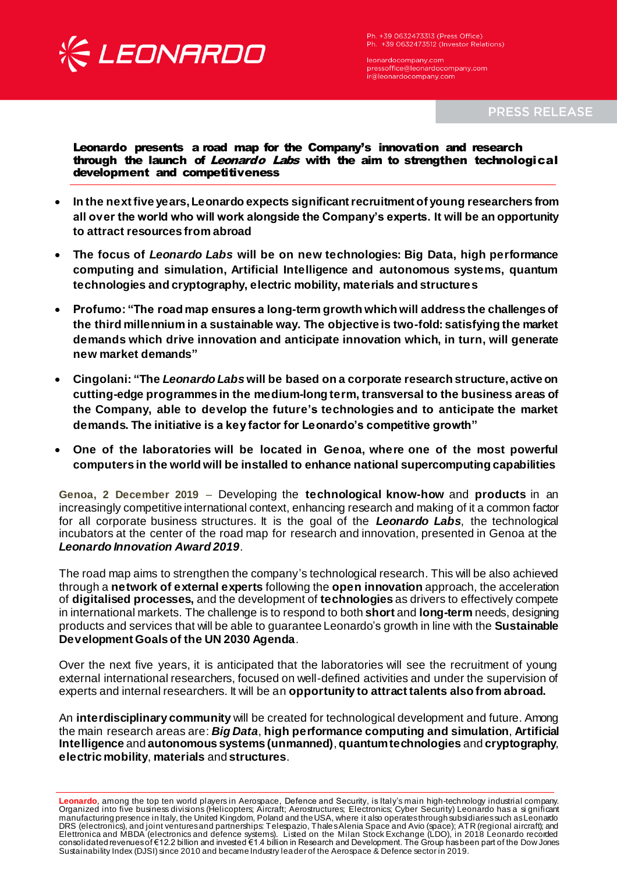

Ph. +39 0632473313 (Press Office) Ph. +39 0632473512 (Investor Relations)

leonardocompany.com<br>pressoffice@leonardocompany.com ir@leonardocompany.com

**PRESS RELEASE** 

## Leonardo presents a road map for the Company's innovation and research through the launch of Leonardo Labs with the aim to strengthen technological development and competitiveness

- **In the next five years, Leonardo expects significant recruitment of young researchers from all over the world who will work alongside the Company's experts. It will be an opportunity to attract resources from abroad**
- **The focus of** *Leonardo Labs* **will be on new technologies: Big Data, high performance computing and simulation, Artificial Intelligence and autonomous systems, quantum technologies and cryptography, electric mobility, materials and structures**
- **Profumo: "The road map ensures a long-term growth which will address the challenges of the third millennium in a sustainable way. The objective is two-fold: satisfying the market demands which drive innovation and anticipate innovation which, in turn, will generate new market demands"**
- **Cingolani: "The** *Leonardo Labs* **will be based on a corporate research structure, active on cutting-edge programmes in the medium-long term, transversal to the business areas of the Company, able to develop the future's technologies and to anticipate the market demands. The initiative is a key factor for Leonardo's competitive growth"**
- **One of the laboratories will be located in Genoa, where one of the most powerful computers in the world will be installed to enhance national supercomputing capabilities**

**Genoa, 2 December 2019** – Developing the **technological know-how** and **products** in an increasingly competitive international context, enhancing research and making of it a common factor for all corporate business structures. It is the goal of the *Leonardo Labs*, the technological incubators at the center of the road map for research and innovation, presented in Genoa at the *Leonardo Innovation Award 2019*.

The road map aims to strengthen the company's technological research. This will be also achieved through a **network of external experts** following the **open innovation** approach, the acceleration of **digitalised processes,** and the development of **technologies** as drivers to effectively compete in international markets. The challenge is to respond to both **short** and **long-term** needs, designing products and services that will be able to guarantee Leonardo's growth in line with the **Sustainable Development Goals of the UN 2030 Agenda**.

Over the next five years, it is anticipated that the laboratories will see the recruitment of young external international researchers, focused on well-defined activities and under the supervision of experts and internal researchers. It will be an **opportunity to attract talents also from abroad.**

An **interdisciplinary community** will be created for technological development and future. Among the main research areas are: *Big Data*, **high performance computing and simulation**, **Artificial Intelligence** and **autonomous systems (unmanned)**, **quantum technologies** and **cryptography**, **electric mobility**, **materials** and **structures**.

**Leonardo**, among the top ten world players in Aerospace, Defence and Security, is Italy's main high-technology industrial company. Organized into five business divisions (Helicopters; Aircraft; Aerostructures; Electronics; Cyber Security) Leonardo has a si gnificant manufacturing presence in Italy, the United Kingdom, Poland and the USA, where it also operates through subsidiaries such as Leonardo DRS (electronics), and joint ventures and partnerships: Telespazio, Thales Alenia Space and Avio (space); ATR (regional aircraft); and Elettronica and MBDA (electronics and defence systems). Listed on the Milan Stock Exchange (LDO), in 2018 Leonardo recorded consolidated revenues of €12.2 billion and invested €1.4 billion in Research and Development. The Group has been part of the Dow Jones Sustainability Index (DJSI) since 2010 and became Industry leader of the Aerospace & Defence sector in 2019.